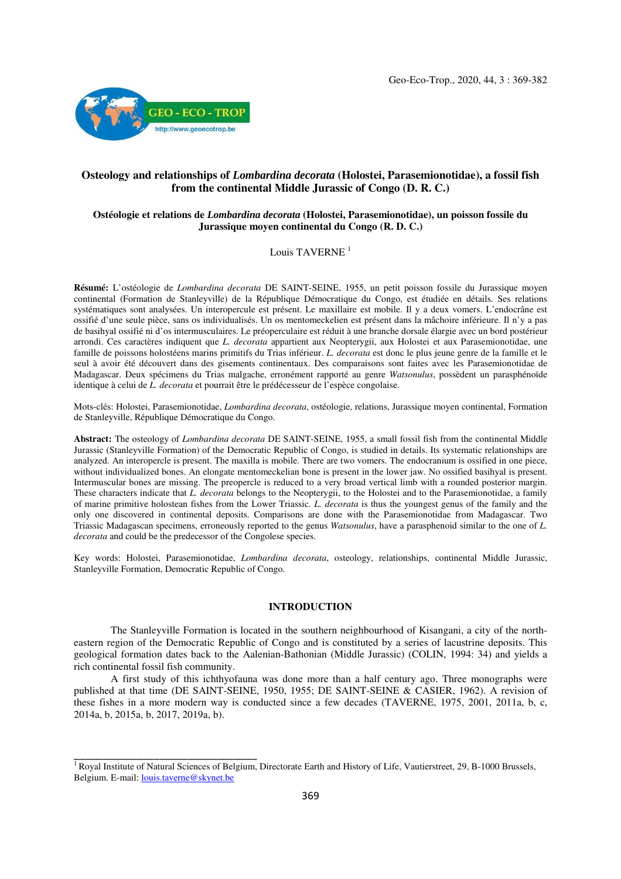

\_\_\_\_\_\_\_\_\_\_\_\_\_\_\_\_\_\_\_\_\_\_\_\_\_\_\_\_\_\_\_\_

# **Osteology and relationships of** *Lombardina decorata* **(Holostei, Parasemionotidae), a fossil fish from the continental Middle Jurassic of Congo (D. R. C.)**

### **Ostéologie et relations de** *Lombardina decorata* **(Holostei, Parasemionotidae), un poisson fossile du Jurassique moyen continental du Congo (R. D. C.)**

Louis TAVERNE<sup>1</sup>

**Résumé:** L'ostéologie de *Lombardina decorata* DE SAINT-SEINE, 1955, un petit poisson fossile du Jurassique moyen continental (Formation de Stanleyville) de la République Démocratique du Congo, est étudiée en détails. Ses relations systématiques sont analysées. Un interopercule est présent. Le maxillaire est mobile. Il y a deux vomers. L'endocrâne est ossifié d'une seule pièce, sans os individualisés. Un os mentomeckelien est présent dans la mâchoire inférieure. Il n'y a pas de basihyal ossifié ni d'os intermusculaires. Le préoperculaire est réduit à une branche dorsale élargie avec un bord postérieur arrondi. Ces caractères indiquent que *L. decorata* appartient aux Neopterygii, aux Holostei et aux Parasemionotidae, une famille de poissons holostéens marins primitifs du Trias inférieur. *L. decorata* est donc le plus jeune genre de la famille et le seul à avoir été découvert dans des gisements continentaux. Des comparaisons sont faites avec les Parasemionotidae de Madagascar. Deux spécimens du Trias malgache, erronément rapporté au genre *Watsonulus*, possèdent un parasphénoïde identique à celui de *L. decorata* et pourrait être le prédécesseur de l'espèce congolaise.

Mots-clés: Holostei, Parasemionotidae, *Lombardina decorata*, ostéologie, relations, Jurassique moyen continental, Formation de Stanleyville, République Démocratique du Congo.

**Abstract:** The osteology of *Lombardina decorata* DE SAINT-SEINE, 1955, a small fossil fish from the continental Middle Jurassic (Stanleyville Formation) of the Democratic Republic of Congo, is studied in details. Its systematic relationships are analyzed. An interopercle is present. The maxilla is mobile. There are two vomers. The endocranium is ossified in one piece, without individualized bones. An elongate mentomeckelian bone is present in the lower jaw. No ossified basihyal is present. Intermuscular bones are missing. The preopercle is reduced to a very broad vertical limb with a rounded posterior margin. These characters indicate that *L. decorata* belongs to the Neopterygii, to the Holostei and to the Parasemionotidae, a family of marine primitive holostean fishes from the Lower Triassic. *L. decorata* is thus the youngest genus of the family and the only one discovered in continental deposits. Comparisons are done with the Parasemionotidae from Madagascar. Two Triassic Madagascan specimens, erroneously reported to the genus *Watsonulus*, have a parasphenoid similar to the one of *L. decorata* and could be the predecessor of the Congolese species.

Key words: Holostei, Parasemionotidae, *Lombardina decorata*, osteology, relationships, continental Middle Jurassic, Stanleyville Formation, Democratic Republic of Congo.

#### **INTRODUCTION**

The Stanleyville Formation is located in the southern neighbourhood of Kisangani, a city of the northeastern region of the Democratic Republic of Congo and is constituted by a series of lacustrine deposits. This geological formation dates back to the Aalenian-Bathonian (Middle Jurassic) (COLIN, 1994: 34) and yields a rich continental fossil fish community.

A first study of this ichthyofauna was done more than a half century ago. Three monographs were published at that time (DE SAINT-SEINE, 1950, 1955; DE SAINT-SEINE & CASIER, 1962). A revision of these fishes in a more modern way is conducted since a few decades (TAVERNE, 1975, 2001, 2011a, b, c, 2014a, b, 2015a, b, 2017, 2019a, b).

 $\frac{1}{1}$  Royal Institute of Natural Sciences of Belgium, Directorate Earth and History of Life, Vautierstreet, 29, B-1000 Brussels, Belgium. E-mail: louis.taverne@skynet.be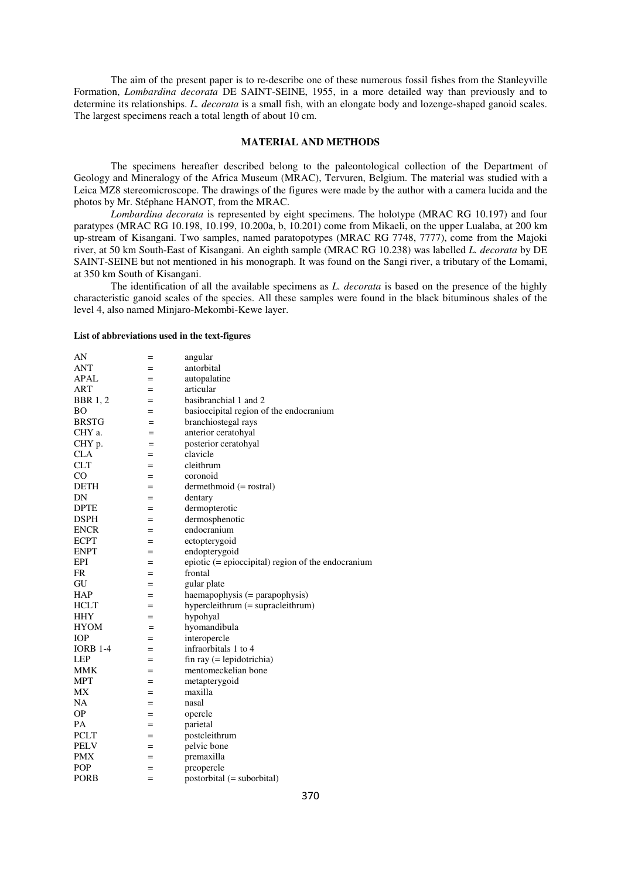The aim of the present paper is to re-describe one of these numerous fossil fishes from the Stanleyville Formation, *Lombardina decorata* DE SAINT-SEINE, 1955, in a more detailed way than previously and to determine its relationships. *L. decorata* is a small fish, with an elongate body and lozenge-shaped ganoid scales. The largest specimens reach a total length of about 10 cm.

### **MATERIAL AND METHODS**

The specimens hereafter described belong to the paleontological collection of the Department of Geology and Mineralogy of the Africa Museum (MRAC), Tervuren, Belgium. The material was studied with a Leica MZ8 stereomicroscope. The drawings of the figures were made by the author with a camera lucida and the photos by Mr. Stéphane HANOT, from the MRAC.

*Lombardina decorata* is represented by eight specimens. The holotype (MRAC RG 10.197) and four paratypes (MRAC RG 10.198, 10.199, 10.200a, b, 10.201) come from Mikaeli, on the upper Lualaba, at 200 km up-stream of Kisangani. Two samples, named paratopotypes (MRAC RG 7748, 7777), come from the Majoki river, at 50 km South-East of Kisangani. An eighth sample (MRAC RG 10.238) was labelled *L. decorata* by DE SAINT-SEINE but not mentioned in his monograph. It was found on the Sangi river, a tributary of the Lomami, at 350 km South of Kisangani.

The identification of all the available specimens as *L. decorata* is based on the presence of the highly characteristic ganoid scales of the species. All these samples were found in the black bituminous shales of the level 4, also named Minjaro-Mekombi-Kewe layer.

#### **List of abbreviations used in the text-figures**

| AN              | $=$ | angular                                              |
|-----------------|-----|------------------------------------------------------|
| <b>ANT</b>      | $=$ | antorbital                                           |
| APAL            | $=$ | autopalatine                                         |
| <b>ART</b>      | $=$ | articular                                            |
| <b>BBR</b> 1, 2 | $=$ | basibranchial 1 and 2                                |
| <b>BO</b>       | $=$ | basioccipital region of the endocranium              |
| <b>BRSTG</b>    | $=$ | branchiostegal rays                                  |
| CHY a.          | $=$ | anterior ceratohyal                                  |
| CHY p.          | $=$ | posterior ceratohyal                                 |
| <b>CLA</b>      | $=$ | clavicle                                             |
| <b>CLT</b>      | $=$ | cleithrum                                            |
| CO              | $=$ | coronoid                                             |
| <b>DETH</b>     | $=$ | $d$ ermethmoid $(=$ rostral)                         |
| DN              | $=$ | dentary                                              |
| <b>DPTE</b>     | $=$ | dermopterotic                                        |
| <b>DSPH</b>     | $=$ | dermosphenotic                                       |
| <b>ENCR</b>     | $=$ | endocranium                                          |
| <b>ECPT</b>     | $=$ | ectopterygoid                                        |
| <b>ENPT</b>     | $=$ | endopterygoid                                        |
| EPI             | $=$ | epiotic $(=$ epioccipital) region of the endocranium |
| FR              | $=$ | frontal                                              |
| GU              | $=$ | gular plate                                          |
| <b>HAP</b>      | $=$ | haemapophysis (= parapophysis)                       |
| <b>HCLT</b>     | $=$ | hypercleithrum $(=$ supracleithrum $)$               |
| <b>HHY</b>      | $=$ | hypohyal                                             |
| <b>HYOM</b>     | $=$ | hyomandibula                                         |
| <b>IOP</b>      | $=$ | interopercle                                         |
| <b>IORB 1-4</b> | $=$ | infraorbitals 1 to 4                                 |
| <b>LEP</b>      | $=$ | fin ray (= lepidotrichia)                            |
| MMK             | $=$ | mentomeckelian bone                                  |
| <b>MPT</b>      | $=$ | metapterygoid                                        |
| МX              | $=$ | maxilla                                              |
| <b>NA</b>       | $=$ | nasal                                                |
| <b>OP</b>       | $=$ | opercle                                              |
| PA              | $=$ | parietal                                             |
| <b>PCLT</b>     | $=$ | postcleithrum                                        |
| <b>PELV</b>     | $=$ | pelvic bone                                          |
| <b>PMX</b>      | $=$ | premaxilla                                           |
| <b>POP</b>      | $=$ | preopercle                                           |
| <b>PORB</b>     | $=$ | postorbital (= suborbital)                           |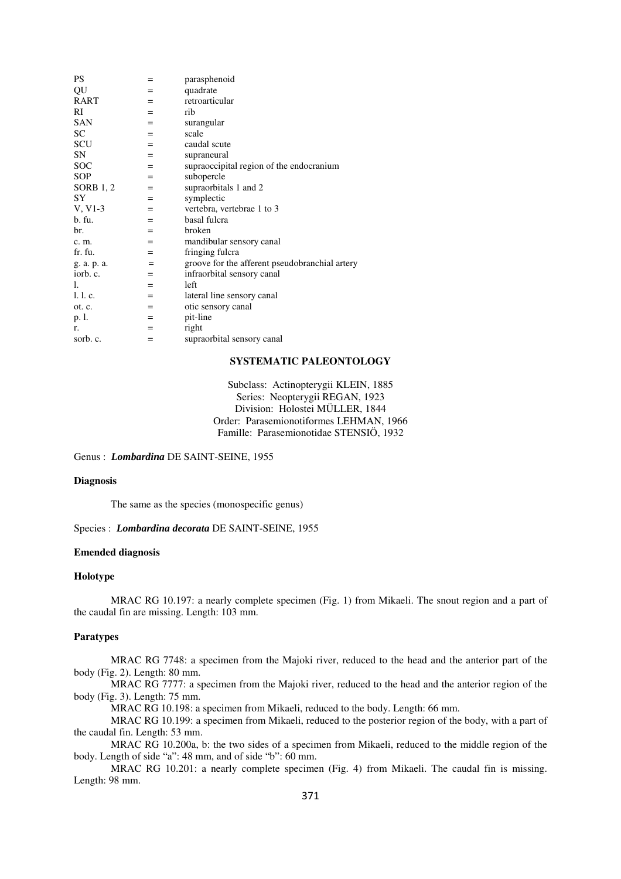| PS               | $=$ | parasphenoid                                   |
|------------------|-----|------------------------------------------------|
| QU               | $=$ | quadrate                                       |
| <b>RART</b>      | $=$ | retroarticular                                 |
| RI               | $=$ | rib                                            |
| <b>SAN</b>       | $=$ | surangular                                     |
| SC               | $=$ | scale                                          |
| SCU              | $=$ | caudal scute                                   |
| SN               | $=$ | supraneural                                    |
| <b>SOC</b>       | $=$ | supraoccipital region of the endocranium       |
| <b>SOP</b>       | $=$ | subopercle                                     |
| <b>SORB 1, 2</b> | $=$ | supraorbitals 1 and 2                          |
| <b>SY</b>        | $=$ | symplectic                                     |
| $V, V1-3$        | $=$ | vertebra, vertebrae 1 to 3                     |
| b. fu.           | $=$ | basal fulcra                                   |
| br.              | $=$ | broken                                         |
| c. m.            | $=$ | mandibular sensory canal                       |
| fr. fu.          | $=$ | fringing fulcra                                |
| g. a. p. a.      | $=$ | groove for the afferent pseudobranchial artery |
| iorb. c.         | $=$ | infraorbital sensory canal                     |
| 1.               | $=$ | left                                           |
| 1. l. c.         | $=$ | lateral line sensory canal                     |
| ot. c.           | $=$ | otic sensory canal                             |
| p. l.            | $=$ | pit-line                                       |
| r.               | $=$ | right                                          |
| sorb. c.         | $=$ | supraorbital sensory canal                     |

# **SYSTEMATIC PALEONTOLOGY**

Subclass: Actinopterygii KLEIN, 1885 Series: Neopterygii REGAN, 1923 Division: Holostei MÜLLER, 1844 Order: Parasemionotiformes LEHMAN, 1966 Famille: Parasemionotidae STENSIÖ, 1932

Genus : *Lombardina* DE SAINT-SEINE, 1955

### **Diagnosis**

The same as the species (monospecific genus)

Species : *Lombardina decorata* DE SAINT-SEINE, 1955

#### **Emended diagnosis**

### **Holotype**

 MRAC RG 10.197: a nearly complete specimen (Fig. 1) from Mikaeli. The snout region and a part of the caudal fin are missing. Length: 103 mm.

#### **Paratypes**

MRAC RG 7748: a specimen from the Majoki river, reduced to the head and the anterior part of the body (Fig. 2). Length: 80 mm.

 MRAC RG 7777: a specimen from the Majoki river, reduced to the head and the anterior region of the body (Fig. 3). Length: 75 mm.

MRAC RG 10.198: a specimen from Mikaeli, reduced to the body. Length: 66 mm.

 MRAC RG 10.199: a specimen from Mikaeli, reduced to the posterior region of the body, with a part of the caudal fin. Length: 53 mm.

 MRAC RG 10.200a, b: the two sides of a specimen from Mikaeli, reduced to the middle region of the body. Length of side "a": 48 mm, and of side "b": 60 mm.

 MRAC RG 10.201: a nearly complete specimen (Fig. 4) from Mikaeli. The caudal fin is missing. Length: 98 mm.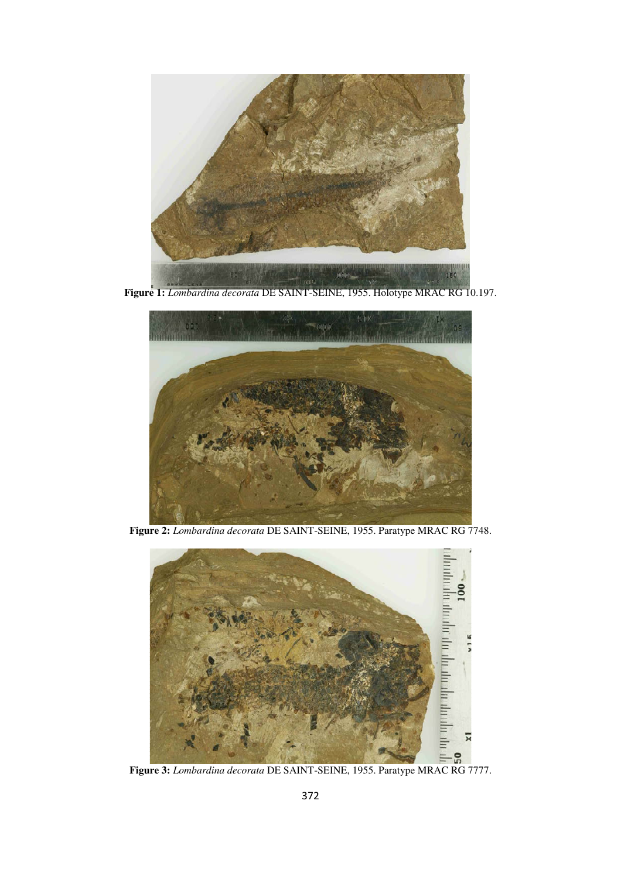

**Figure 1:** *Lombardina decorata* DE SAINT-SEINE, 1955. Holotype MRAC RG 10.197.



**Figure 2:** *Lombardina decorata* DE SAINT-SEINE, 1955. Paratype MRAC RG 7748.

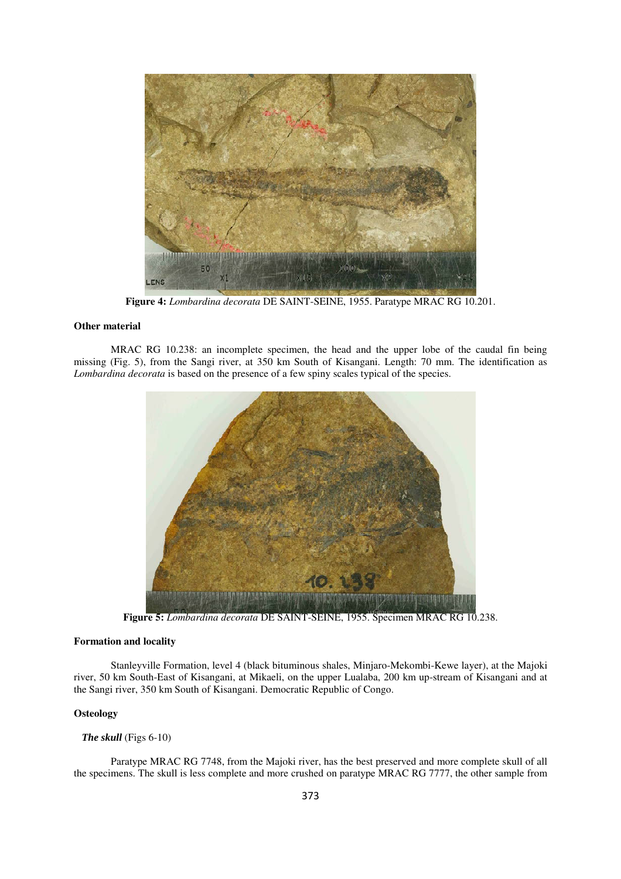

**Figure 4:** *Lombardina decorata* DE SAINT-SEINE, 1955. Paratype MRAC RG 10.201.

## **Other material**

MRAC RG 10.238: an incomplete specimen, the head and the upper lobe of the caudal fin being missing (Fig. 5), from the Sangi river, at 350 km South of Kisangani. Length: 70 mm. The identification as *Lombardina decorata* is based on the presence of a few spiny scales typical of the species.



**Figure 5:** *Lombardina decorata* DE SAINT-SEINE, 1955. Specimen MRAC RG 10.238.

### **Formation and locality**

 Stanleyville Formation, level 4 (black bituminous shales, Minjaro-Mekombi-Kewe layer), at the Majoki river, 50 km South-East of Kisangani, at Mikaeli, on the upper Lualaba, 200 km up-stream of Kisangani and at the Sangi river, 350 km South of Kisangani. Democratic Republic of Congo.

# **Osteology**

### *The skull* (Figs 6-10)

 Paratype MRAC RG 7748, from the Majoki river, has the best preserved and more complete skull of all the specimens. The skull is less complete and more crushed on paratype MRAC RG 7777, the other sample from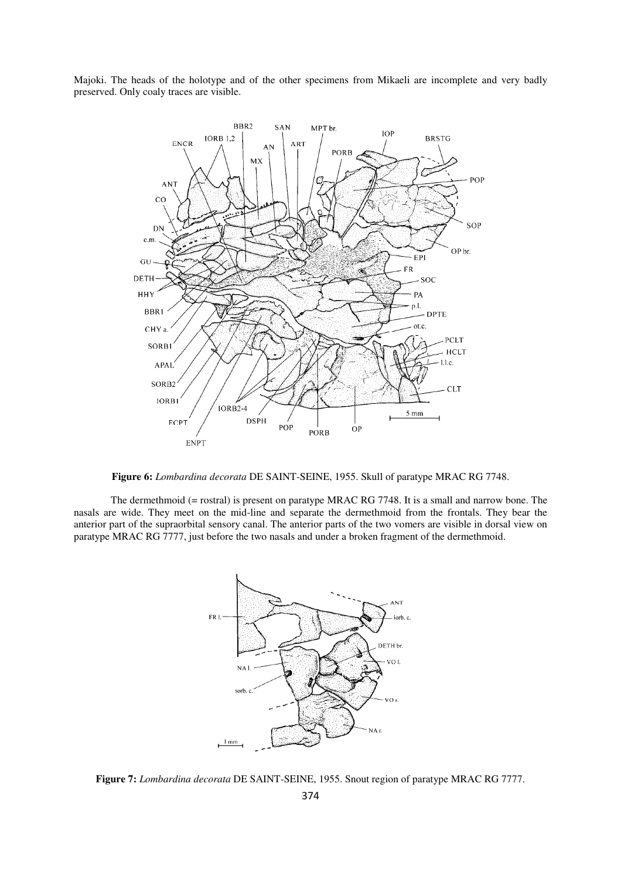Majoki. The heads of the holotype and of the other specimens from Mikaeli are incomplete and very badly preserved. Only coaly traces are visible.



**Figure 6:** *Lombardina decorata* DE SAINT-SEINE, 1955. Skull of paratype MRAC RG 7748.

The dermethmoid (= rostral) is present on paratype MRAC RG 7748. It is a small and narrow bone. The nasals are wide. They meet on the mid-line and separate the dermethmoid from the frontals. They bear the anterior part of the supraorbital sensory canal. The anterior parts of the two vomers are visible in dorsal view on paratype MRAC RG 7777, just before the two nasals and under a broken fragment of the dermethmoid.



**Figure 7:** *Lombardina decorata* DE SAINT-SEINE, 1955. Snout region of paratype MRAC RG 7777.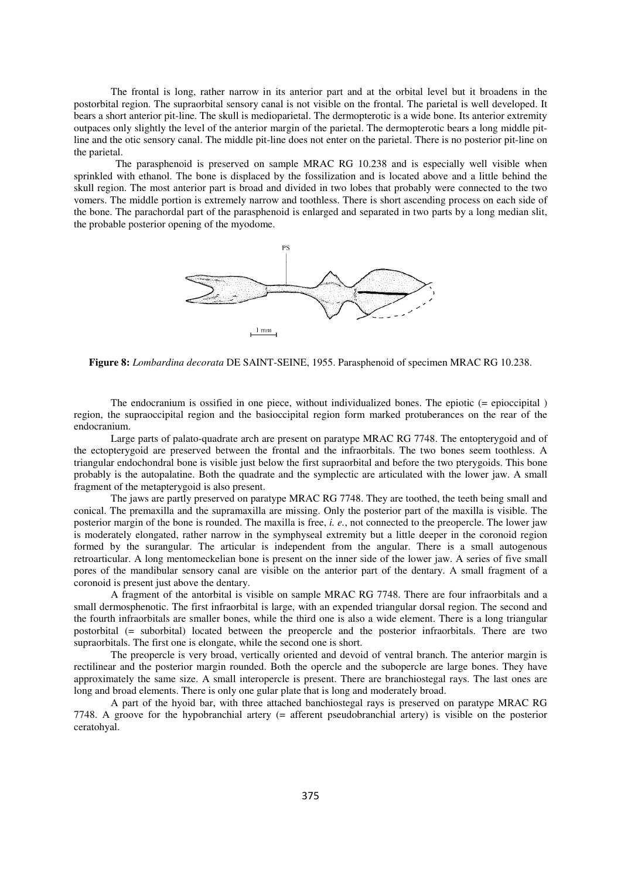The frontal is long, rather narrow in its anterior part and at the orbital level but it broadens in the postorbital region. The supraorbital sensory canal is not visible on the frontal. The parietal is well developed. It bears a short anterior pit-line. The skull is medioparietal. The dermopterotic is a wide bone. Its anterior extremity outpaces only slightly the level of the anterior margin of the parietal. The dermopterotic bears a long middle pitline and the otic sensory canal. The middle pit-line does not enter on the parietal. There is no posterior pit-line on the parietal.

 The parasphenoid is preserved on sample MRAC RG 10.238 and is especially well visible when sprinkled with ethanol. The bone is displaced by the fossilization and is located above and a little behind the skull region. The most anterior part is broad and divided in two lobes that probably were connected to the two vomers. The middle portion is extremely narrow and toothless. There is short ascending process on each side of the bone. The parachordal part of the parasphenoid is enlarged and separated in two parts by a long median slit, the probable posterior opening of the myodome.



**Figure 8:** *Lombardina decorata* DE SAINT-SEINE, 1955. Parasphenoid of specimen MRAC RG 10.238.

The endocranium is ossified in one piece, without individualized bones. The epiotic (= epioccipital) region, the supraoccipital region and the basioccipital region form marked protuberances on the rear of the endocranium.

Large parts of palato-quadrate arch are present on paratype MRAC RG 7748. The entopterygoid and of the ectopterygoid are preserved between the frontal and the infraorbitals. The two bones seem toothless. A triangular endochondral bone is visible just below the first supraorbital and before the two pterygoids. This bone probably is the autopalatine. Both the quadrate and the symplectic are articulated with the lower jaw. A small fragment of the metapterygoid is also present.

The jaws are partly preserved on paratype MRAC RG 7748. They are toothed, the teeth being small and conical. The premaxilla and the supramaxilla are missing. Only the posterior part of the maxilla is visible. The posterior margin of the bone is rounded. The maxilla is free, *i. e.*, not connected to the preopercle. The lower jaw is moderately elongated, rather narrow in the symphyseal extremity but a little deeper in the coronoid region formed by the surangular. The articular is independent from the angular. There is a small autogenous retroarticular. A long mentomeckelian bone is present on the inner side of the lower jaw. A series of five small pores of the mandibular sensory canal are visible on the anterior part of the dentary. A small fragment of a coronoid is present just above the dentary.

A fragment of the antorbital is visible on sample MRAC RG 7748. There are four infraorbitals and a small dermosphenotic. The first infraorbital is large, with an expended triangular dorsal region. The second and the fourth infraorbitals are smaller bones, while the third one is also a wide element. There is a long triangular postorbital (= suborbital) located between the preopercle and the posterior infraorbitals. There are two supraorbitals. The first one is elongate, while the second one is short.

The preopercle is very broad, vertically oriented and devoid of ventral branch. The anterior margin is rectilinear and the posterior margin rounded. Both the opercle and the subopercle are large bones. They have approximately the same size. A small interopercle is present. There are branchiostegal rays. The last ones are long and broad elements. There is only one gular plate that is long and moderately broad.

A part of the hyoid bar, with three attached banchiostegal rays is preserved on paratype MRAC RG 7748. A groove for the hypobranchial artery (= afferent pseudobranchial artery) is visible on the posterior ceratohyal.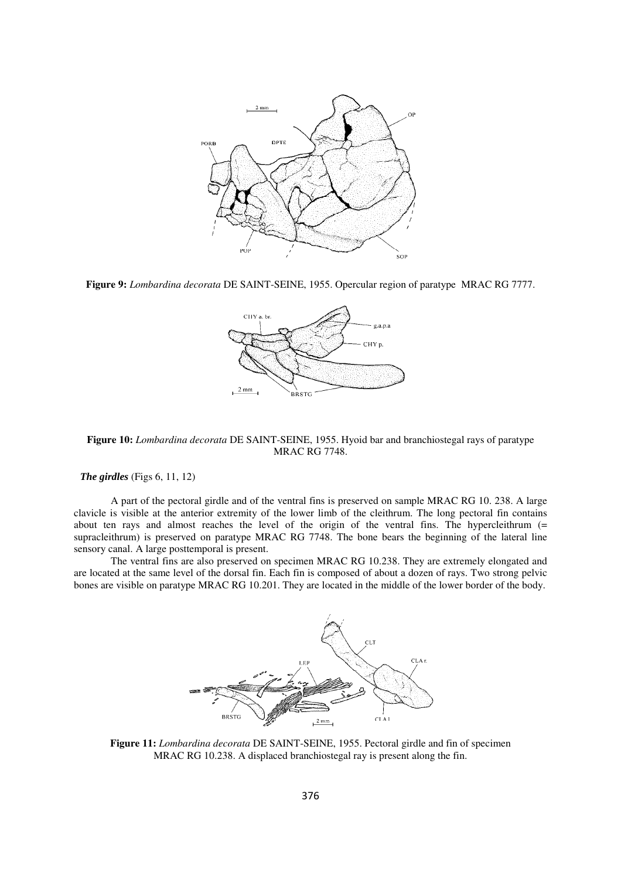

**Figure 9:** *Lombardina decorata* DE SAINT-SEINE, 1955. Opercular region of paratype MRAC RG 7777.



**Figure 10:** *Lombardina decorata* DE SAINT-SEINE, 1955. Hyoid bar and branchiostegal rays of paratype MRAC RG 7748.

## *The girdles* (Figs 6, 11, 12)

 A part of the pectoral girdle and of the ventral fins is preserved on sample MRAC RG 10. 238. A large clavicle is visible at the anterior extremity of the lower limb of the cleithrum. The long pectoral fin contains about ten rays and almost reaches the level of the origin of the ventral fins. The hypercleithrum (= supracleithrum) is preserved on paratype MRAC RG 7748. The bone bears the beginning of the lateral line sensory canal. A large posttemporal is present.

The ventral fins are also preserved on specimen MRAC RG 10.238. They are extremely elongated and are located at the same level of the dorsal fin. Each fin is composed of about a dozen of rays. Two strong pelvic bones are visible on paratype MRAC RG 10.201. They are located in the middle of the lower border of the body.



**Figure 11:** *Lombardina decorata* DE SAINT-SEINE, 1955. Pectoral girdle and fin of specimen MRAC RG 10.238. A displaced branchiostegal ray is present along the fin.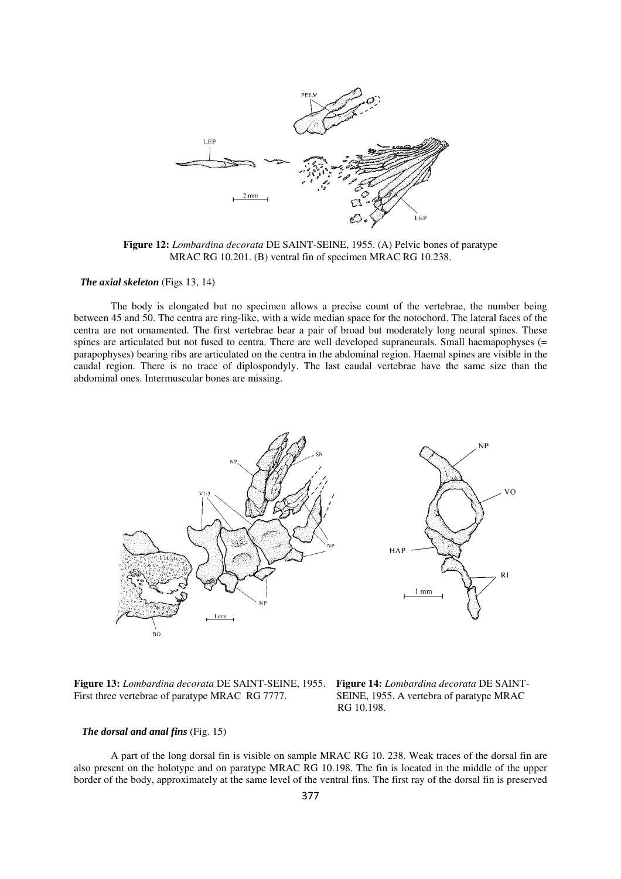

**Figure 12:** *Lombardina decorata* DE SAINT-SEINE, 1955. (A) Pelvic bones of paratype MRAC RG 10.201. (B) ventral fin of specimen MRAC RG 10.238.

### *The axial skeleton* (Figs 13, 14)

 The body is elongated but no specimen allows a precise count of the vertebrae, the number being between 45 and 50. The centra are ring-like, with a wide median space for the notochord. The lateral faces of the centra are not ornamented. The first vertebrae bear a pair of broad but moderately long neural spines. These spines are articulated but not fused to centra. There are well developed supraneurals. Small haemapophyses (= parapophyses) bearing ribs are articulated on the centra in the abdominal region. Haemal spines are visible in the caudal region. There is no trace of diplospondyly. The last caudal vertebrae have the same size than the abdominal ones. Intermuscular bones are missing.



**Figure 13:** *Lombardina decorata* DE SAINT-SEINE, 1955. **Figure 14:** *Lombardina decorata* DE SAINT-First three vertebrae of paratype MRAC RG 7777. SEINE, 1955. A vertebra of paratype MRAC



#### *The dorsal and anal fins* (Fig. 15)

 A part of the long dorsal fin is visible on sample MRAC RG 10. 238. Weak traces of the dorsal fin are also present on the holotype and on paratype MRAC RG 10.198. The fin is located in the middle of the upper border of the body, approximately at the same level of the ventral fins. The first ray of the dorsal fin is preserved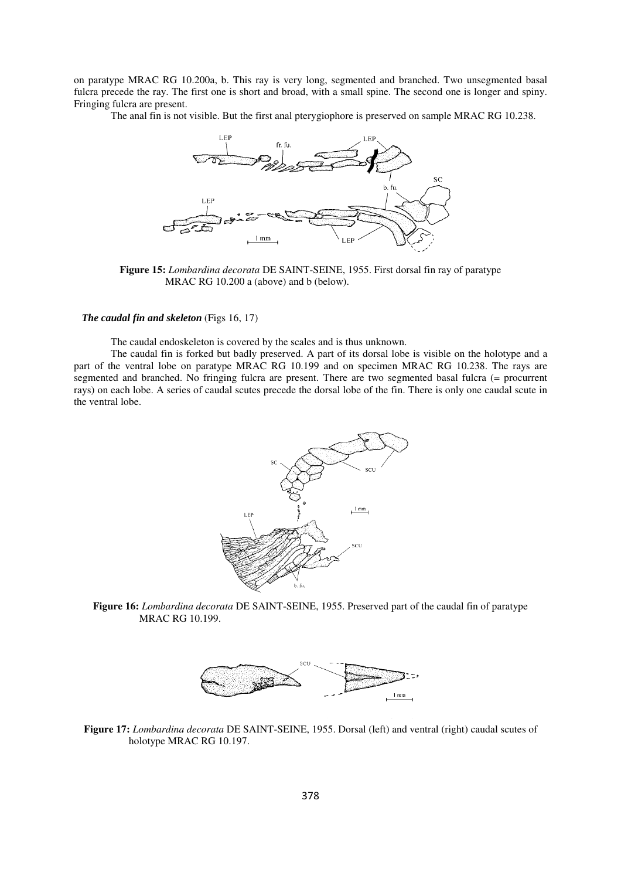on paratype MRAC RG 10.200a, b. This ray is very long, segmented and branched. Two unsegmented basal fulcra precede the ray. The first one is short and broad, with a small spine. The second one is longer and spiny. Fringing fulcra are present.

The anal fin is not visible. But the first anal pterygiophore is preserved on sample MRAC RG 10.238.



**Figure 15:** *Lombardina decorata* DE SAINT-SEINE, 1955. First dorsal fin ray of paratype MRAC RG 10.200 a (above) and b (below).

#### *The caudal fin and skeleton* (Figs 16, 17)

The caudal endoskeleton is covered by the scales and is thus unknown.

 The caudal fin is forked but badly preserved. A part of its dorsal lobe is visible on the holotype and a part of the ventral lobe on paratype MRAC RG 10.199 and on specimen MRAC RG 10.238. The rays are segmented and branched. No fringing fulcra are present. There are two segmented basal fulcra (= procurrent rays) on each lobe. A series of caudal scutes precede the dorsal lobe of the fin. There is only one caudal scute in the ventral lobe.







**Figure 17:** *Lombardina decorata* DE SAINT-SEINE, 1955. Dorsal (left) and ventral (right) caudal scutes of holotype MRAC RG 10.197.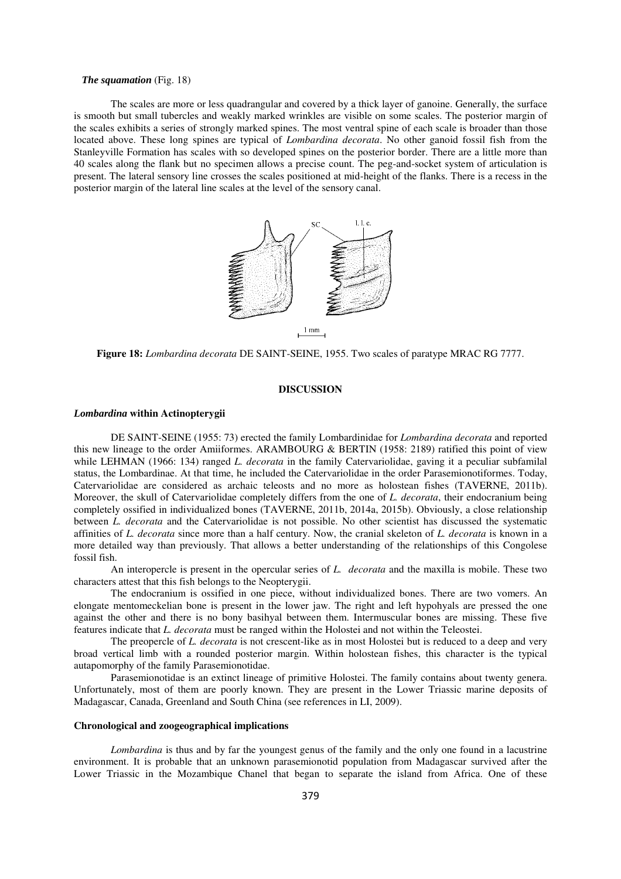#### *The squamation* (Fig. 18)

 The scales are more or less quadrangular and covered by a thick layer of ganoine. Generally, the surface is smooth but small tubercles and weakly marked wrinkles are visible on some scales. The posterior margin of the scales exhibits a series of strongly marked spines. The most ventral spine of each scale is broader than those located above. These long spines are typical of *Lombardina decorata*. No other ganoid fossil fish from the Stanleyville Formation has scales with so developed spines on the posterior border. There are a little more than 40 scales along the flank but no specimen allows a precise count. The peg-and-socket system of articulation is present. The lateral sensory line crosses the scales positioned at mid-height of the flanks. There is a recess in the posterior margin of the lateral line scales at the level of the sensory canal.



**Figure 18:** *Lombardina decorata* DE SAINT-SEINE, 1955. Two scales of paratype MRAC RG 7777.

#### **DISCUSSION**

#### *Lombardina* **within Actinopterygii**

DE SAINT-SEINE (1955: 73) erected the family Lombardinidae for *Lombardina decorata* and reported this new lineage to the order Amiiformes. ARAMBOURG & BERTIN (1958: 2189) ratified this point of view while LEHMAN (1966: 134) ranged *L. decorata* in the family Catervariolidae, gaving it a peculiar subfamilal status, the Lombardinae. At that time, he included the Catervariolidae in the order Parasemionotiformes. Today, Catervariolidae are considered as archaic teleosts and no more as holostean fishes (TAVERNE, 2011b). Moreover, the skull of Catervariolidae completely differs from the one of *L. decorata*, their endocranium being completely ossified in individualized bones (TAVERNE, 2011b, 2014a, 2015b). Obviously, a close relationship between *L. decorata* and the Catervariolidae is not possible. No other scientist has discussed the systematic affinities of *L. decorata* since more than a half century. Now, the cranial skeleton of *L. decorata* is known in a more detailed way than previously. That allows a better understanding of the relationships of this Congolese fossil fish.

An interopercle is present in the opercular series of *L. decorata* and the maxilla is mobile. These two characters attest that this fish belongs to the Neopterygii.

The endocranium is ossified in one piece, without individualized bones. There are two vomers. An elongate mentomeckelian bone is present in the lower jaw. The right and left hypohyals are pressed the one against the other and there is no bony basihyal between them. Intermuscular bones are missing. These five features indicate that *L. decorata* must be ranged within the Holostei and not within the Teleostei.

The preopercle of *L. decorata* is not crescent-like as in most Holostei but is reduced to a deep and very broad vertical limb with a rounded posterior margin. Within holostean fishes, this character is the typical autapomorphy of the family Parasemionotidae.

 Parasemionotidae is an extinct lineage of primitive Holostei. The family contains about twenty genera. Unfortunately, most of them are poorly known. They are present in the Lower Triassic marine deposits of Madagascar, Canada, Greenland and South China (see references in LI, 2009).

#### **Chronological and zoogeographical implications**

*Lombardina* is thus and by far the youngest genus of the family and the only one found in a lacustrine environment. It is probable that an unknown parasemionotid population from Madagascar survived after the Lower Triassic in the Mozambique Chanel that began to separate the island from Africa. One of these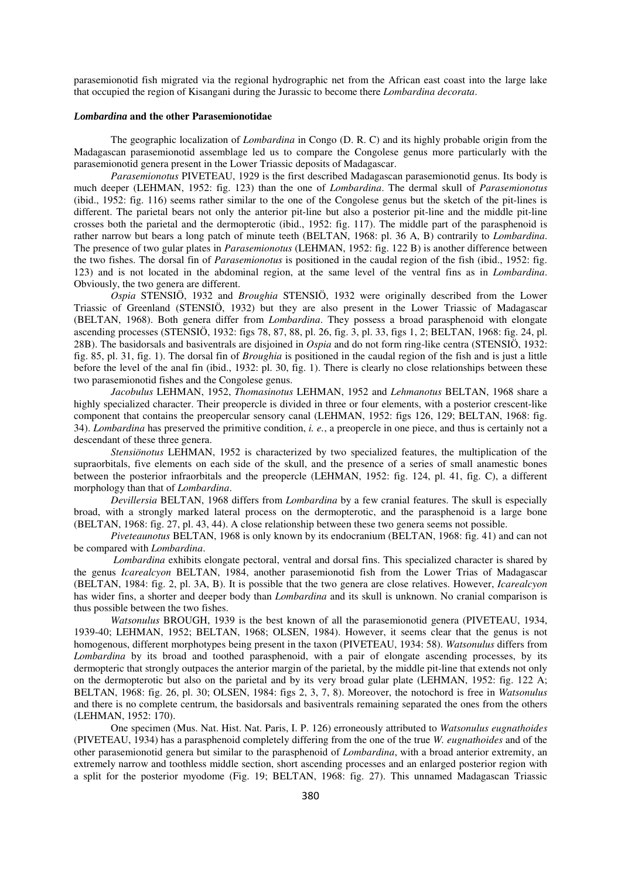parasemionotid fish migrated via the regional hydrographic net from the African east coast into the large lake that occupied the region of Kisangani during the Jurassic to become there *Lombardina decorata*.

#### *Lombardina* **and the other Parasemionotidae**

 The geographic localization of *Lombardina* in Congo (D. R. C) and its highly probable origin from the Madagascan parasemionotid assemblage led us to compare the Congolese genus more particularly with the parasemionotid genera present in the Lower Triassic deposits of Madagascar.

*Parasemionotus* PIVETEAU, 1929 is the first described Madagascan parasemionotid genus. Its body is much deeper (LEHMAN, 1952: fig. 123) than the one of *Lombardina*. The dermal skull of *Parasemionotus*  (ibid., 1952: fig. 116) seems rather similar to the one of the Congolese genus but the sketch of the pit-lines is different. The parietal bears not only the anterior pit-line but also a posterior pit-line and the middle pit-line crosses both the parietal and the dermopterotic (ibid., 1952: fig. 117). The middle part of the parasphenoid is rather narrow but bears a long patch of minute teeth (BELTAN, 1968: pl. 36 A, B) contrarily to *Lombardina*. The presence of two gular plates in *Parasemionotus* (LEHMAN, 1952: fig. 122 B) is another difference between the two fishes. The dorsal fin of *Parasemionotus* is positioned in the caudal region of the fish (ibid., 1952: fig. 123) and is not located in the abdominal region, at the same level of the ventral fins as in *Lombardina*. Obviously, the two genera are different.

*Ospia* STENSIÖ, 1932 and *Broughia* STENSIÖ, 1932 were originally described from the Lower Triassic of Greenland (STENSIÖ, 1932) but they are also present in the Lower Triassic of Madagascar (BELTAN, 1968). Both genera differ from *Lombardina*. They possess a broad parasphenoid with elongate ascending processes (STENSIÖ, 1932: figs 78, 87, 88, pl. 26, fig. 3, pl. 33, figs 1, 2; BELTAN, 1968: fig. 24, pl. 28B). The basidorsals and basiventrals are disjoined in *Ospia* and do not form ring-like centra (STENSIÖ, 1932: fig. 85, pl. 31, fig. 1). The dorsal fin of *Broughia* is positioned in the caudal region of the fish and is just a little before the level of the anal fin (ibid., 1932: pl. 30, fig. 1). There is clearly no close relationships between these two parasemionotid fishes and the Congolese genus.

*Jacobulus* LEHMAN, 1952, *Thomasinotus* LEHMAN, 1952 and *Lehmanotus* BELTAN, 1968 share a highly specialized character. Their preopercle is divided in three or four elements, with a posterior crescent-like component that contains the preopercular sensory canal (LEHMAN, 1952: figs 126, 129; BELTAN, 1968: fig. 34). *Lombardina* has preserved the primitive condition, *i. e.*, a preopercle in one piece, and thus is certainly not a descendant of these three genera.

*Stensiönotus* LEHMAN, 1952 is characterized by two specialized features, the multiplication of the supraorbitals, five elements on each side of the skull, and the presence of a series of small anamestic bones between the posterior infraorbitals and the preopercle (LEHMAN, 1952: fig. 124, pl. 41, fig. C), a different morphology than that of *Lombardina*.

*Devillersia* BELTAN, 1968 differs from *Lombardina* by a few cranial features. The skull is especially broad, with a strongly marked lateral process on the dermopterotic, and the parasphenoid is a large bone (BELTAN, 1968: fig. 27, pl. 43, 44). A close relationship between these two genera seems not possible.

*Piveteaunotus* BELTAN, 1968 is only known by its endocranium (BELTAN, 1968: fig. 41) and can not be compared with *Lombardina*.

 *Lombardina* exhibits elongate pectoral, ventral and dorsal fins. This specialized character is shared by the genus *Icarealcyon* BELTAN, 1984, another parasemionotid fish from the Lower Trias of Madagascar (BELTAN, 1984: fig. 2, pl. 3A, B). It is possible that the two genera are close relatives. However, *Icarealcyon* has wider fins, a shorter and deeper body than *Lombardina* and its skull is unknown. No cranial comparison is thus possible between the two fishes.

*Watsonulus* BROUGH, 1939 is the best known of all the parasemionotid genera (PIVETEAU, 1934, 1939-40; LEHMAN, 1952; BELTAN, 1968; OLSEN, 1984). However, it seems clear that the genus is not homogenous, different morphotypes being present in the taxon (PIVETEAU, 1934: 58). *Watsonulus* differs from *Lombardina* by its broad and toothed parasphenoid, with a pair of elongate ascending processes, by its dermopteric that strongly outpaces the anterior margin of the parietal, by the middle pit-line that extends not only on the dermopterotic but also on the parietal and by its very broad gular plate (LEHMAN, 1952: fig. 122 A; BELTAN, 1968: fig. 26, pl. 30; OLSEN, 1984: figs 2, 3, 7, 8). Moreover, the notochord is free in *Watsonulus*  and there is no complete centrum, the basidorsals and basiventrals remaining separated the ones from the others (LEHMAN, 1952: 170).

One specimen (Mus. Nat. Hist. Nat. Paris, I. P. 126) erroneously attributed to *Watsonulus eugnathoides*  (PIVETEAU, 1934) has a parasphenoid completely differing from the one of the true *W. eugnathoides* and of the other parasemionotid genera but similar to the parasphenoid of *Lombardina*, with a broad anterior extremity, an extremely narrow and toothless middle section, short ascending processes and an enlarged posterior region with a split for the posterior myodome (Fig. 19; BELTAN, 1968: fig. 27). This unnamed Madagascan Triassic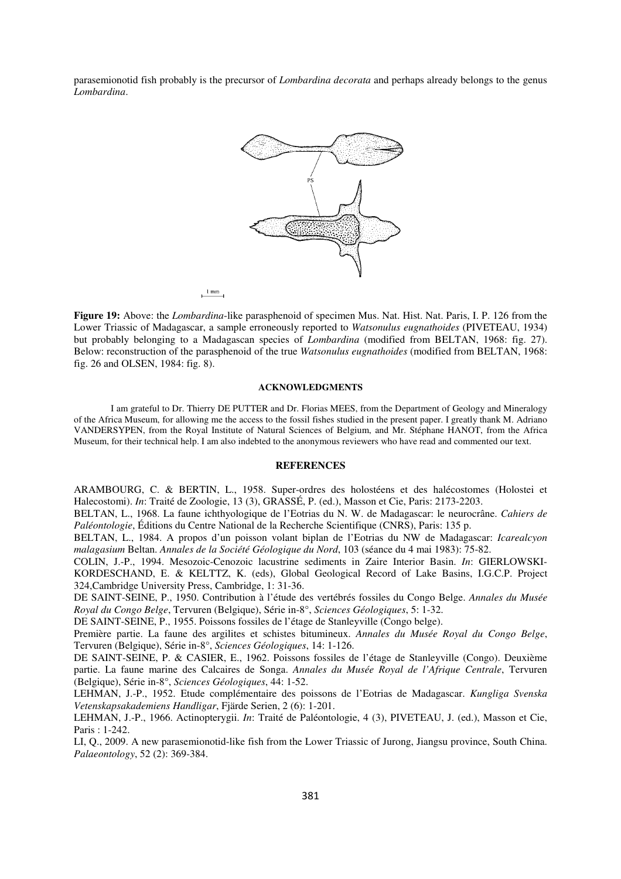parasemionotid fish probably is the precursor of *Lombardina decorata* and perhaps already belongs to the genus *Lombardina*.



**Figure 19:** Above: the *Lombardina*-like parasphenoid of specimen Mus. Nat. Hist. Nat. Paris, I. P. 126 from the Lower Triassic of Madagascar, a sample erroneously reported to *Watsonulus eugnathoides* (PIVETEAU, 1934) but probably belonging to a Madagascan species of *Lombardina* (modified from BELTAN, 1968: fig. 27). Below: reconstruction of the parasphenoid of the true *Watsonulus eugnathoides* (modified from BELTAN, 1968: fig. 26 and OLSEN, 1984: fig. 8).

#### **ACKNOWLEDGMENTS**

I am grateful to Dr. Thierry DE PUTTER and Dr. Florias MEES, from the Department of Geology and Mineralogy of the Africa Museum, for allowing me the access to the fossil fishes studied in the present paper. I greatly thank M. Adriano VANDERSYPEN, from the Royal Institute of Natural Sciences of Belgium, and Mr. Stéphane HANOT, from the Africa Museum, for their technical help. I am also indebted to the anonymous reviewers who have read and commented our text.

### **REFERENCES**

ARAMBOURG, C. & BERTIN, L., 1958. Super-ordres des holostéens et des halécostomes (Holostei et Halecostomi). *In*: Traité de Zoologie, 13 (3), GRASSÉ, P. (ed.), Masson et Cie, Paris: 2173-2203.

BELTAN, L., 1968. La faune ichthyologique de l'Eotrias du N. W. de Madagascar: le neurocrâne. *Cahiers de Paléontologie*, Éditions du Centre National de la Recherche Scientifique (CNRS), Paris: 135 p.

BELTAN, L., 1984. A propos d'un poisson volant biplan de l'Eotrias du NW de Madagascar: *Icarealcyon malagasium* Beltan. *Annales de la Société Géologique du Nord*, 103 (séance du 4 mai 1983): 75-82.

COLIN, J.-P., 1994. Mesozoic-Cenozoic lacustrine sediments in Zaire Interior Basin. *In*: GIERLOWSKI-KORDESCHAND, E. & KELTTZ, K. (eds), Global Geological Record of Lake Basins, I.G.C.P. Project 324,Cambridge University Press, Cambridge, 1: 31-36.

DE SAINT-SEINE, P., 1950. Contribution à l'étude des vertébrés fossiles du Congo Belge. *Annales du Musée Royal du Congo Belge*, Tervuren (Belgique), Série in-8°, *Sciences Géologiques*, 5: 1-32.

DE SAINT-SEINE, P., 1955. Poissons fossiles de l'étage de Stanleyville (Congo belge).

Première partie. La faune des argilites et schistes bitumineux. *Annales du Musée Royal du Congo Belge*, Tervuren (Belgique), Série in-8°, *Sciences Géologiques*, 14: 1-126.

DE SAINT-SEINE, P. & CASIER, E., 1962. Poissons fossiles de l'étage de Stanleyville (Congo). Deuxième partie. La faune marine des Calcaires de Songa. *Annales du Musée Royal de l'Afrique Centrale*, Tervuren (Belgique), Série in-8°, *Sciences Géologiques*, 44: 1-52.

LEHMAN, J.-P., 1952. Etude complémentaire des poissons de l'Eotrias de Madagascar. *Kungliga Svenska Vetenskapsakademiens Handligar*, Fjärde Serien, 2 (6): 1-201.

LEHMAN, J.-P., 1966. Actinopterygii. *In*: Traité de Paléontologie, 4 (3), PIVETEAU, J. (ed.), Masson et Cie, Paris : 1-242.

LI, Q., 2009. A new parasemionotid-like fish from the Lower Triassic of Jurong, Jiangsu province, South China. *Palaeontology*, 52 (2): 369-384.